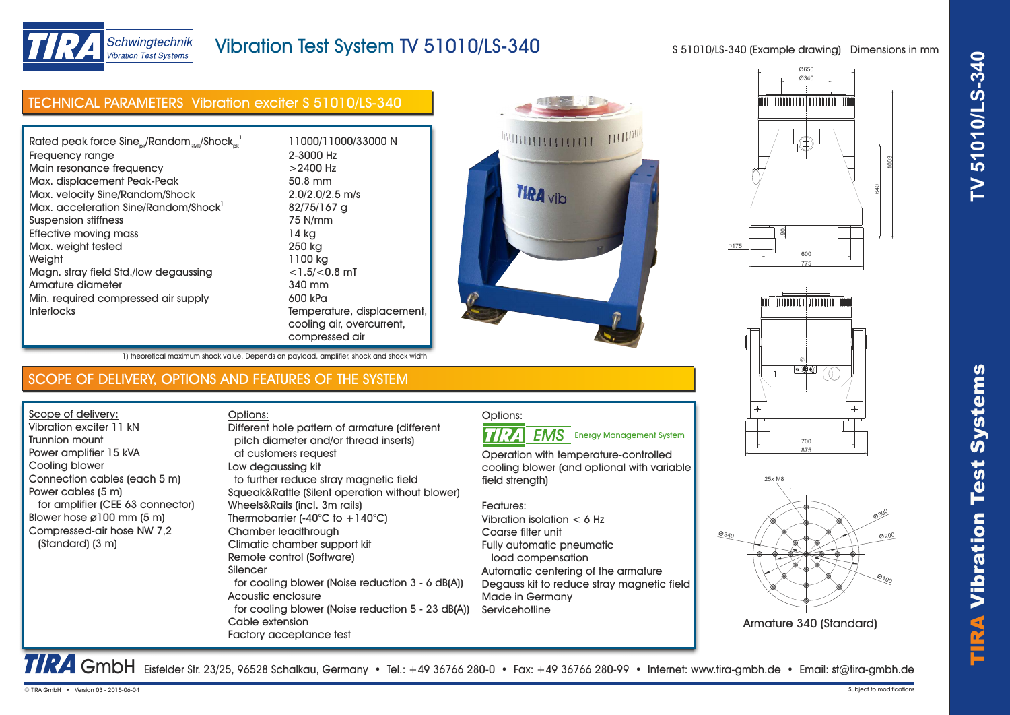

# Vibration Test System TV 51010/LS-340

S 51010/LS-340 (Example drawing) Dimensions in mm

| Rated peak force $Sine_{ok}/Random_{RMS}/Shock_{ck}^{-1}$ | 11000/11000/33000 N        |
|-----------------------------------------------------------|----------------------------|
| Frequency range                                           | 2-3000 Hz                  |
| Main resonance frequency                                  | $>$ 2400 Hz                |
| Max. displacement Peak-Peak                               | 50.8 mm                    |
| Max. velocity Sine/Random/Shock                           | $2.0/2.0/2.5$ m/s          |
| Max. acceleration Sine/Random/Shock                       | 82/75/167 g                |
| Suspension stiffness                                      | 75 N/mm                    |
| Effective moving mass                                     | 14 kg                      |
| Max. weight tested                                        | 250 kg                     |
| Weiaht                                                    | 1100 kg                    |
| Magn. stray field Std./low degaussing                     | $<$ 1.5/ $<$ 0.8 mT        |
| Armature diameter                                         | 340 mm                     |
| Min. required compressed air supply                       | 600 kPa                    |
| <b>Interlocks</b>                                         | Temperature, displacement, |
|                                                           | cooling air, overcurrent,  |
|                                                           | compressed air             |









Armature 340 (Standard)

1) theoretical maximum shock value. Depends on payload, amplifier, shock and shock width

## SCOPE OF DELIVERY, OPTIONS AND FEATURES OF THE SYSTEM

Scope of delivery: Vibration exciter 11 kN Trunnion mount Power amplifier 15 kVA Cooling blower Connection cables (each 5 m) Power cables (5 m) for amplifier (CEE 63 connector) Blower hose ø100 mm (5 m) Compressed-air hose NW 7,2 (Standard) (3 m)

Options: pitch diameter and/or thread inserts) at customers request Low degaussing kit to further reduce stray magnetic field Squeak&Rattle (Silent operation without blower) Wheels&Rails (incl. 3m rails) Thermobarrier  $(-40^{\circ}C)$  to  $+140^{\circ}C$ ) Chamber leadthrough Climatic chamber support kit Remote control (Software) Silencer for cooling blower (Noise reduction 3 - 6 dB(A)) Acoustic enclosure for cooling blower (Noise reduction 5 - 23 dB(A)) Cable extension Factory acceptance test Different hole pattern of armature (different

### Options: **TIRA**

Operation with temperature-controlled cooling blower (and optional with variable

Features:

field strength)

Vibration isolation < 6 Hz Coarse filter unit Fully automatic pneumatic load compensation Automatic centering of the armature Degauss kit to reduce stray magnetic field Made in Germany **Servicehotline** 

TTRA GmbH Eisfelder Str. 23/25, 96528 Schalkau, Germany • Tel.: +49 36766 280-0 • Fax: +49 36766 280-99 • Internet: www.tira-gmbh.de • Email: st@tira-gmbh.de

# **EMS** Energy Management System